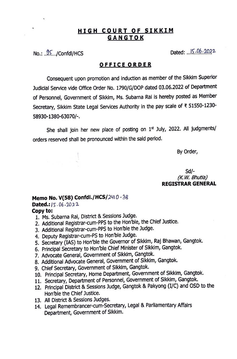## **HIGH COURT OF SIKKIM GANGTOK**

No.: j[ .. /Confdl/HCS Dated: *. ..l?..•.Q.f?.-.7.Q?.2-*

## **OFFICE ORDER**

Consequent upon promotion and induction as member of the Sikkim Superior Judicial Service vide Office Order No. 1790/G/DOP dated 03.06.2022 of Department of Personnel, Government of Sikkim, Ms. Subarna Rai is hereby posted as Member Secretary, Sikkim State Legal Services Authority in the pay scale of ₹ 51550-1230-58930-1380-63070/-.

She shall join her new place of posting on 1<sup>st</sup> July, 2022. All judgments/ orders reserved shall be pronounced within the said period.

By Order,

Sd/- *(K. W. Bhutia)*  **REGISTRAR GENERAL** 

## **Memo No. V(58) Confdl./HCS/2410-38** Dated.: 15.06.2022 **Copy to:**

- 1. Ms. Subarna Rai, District & Sessions Judge.
- 2. Additional Registrar-cum-PPS to the Hon'ble, the Chief Justice.
- 3. Additional Registrar-cum-PPS to Hon'ble the Judge.
- 4. Deputy Registrar-cum-PS to Hon'ble Judge.
- 5. Secretary (IAS) to Hon'ble the Governor of Sikkim, Raj Bhawan, Gangtok.
- 6. Principal Secretary to Hon'ble Chief Minister of Sikkim, Gangtok.
- 7. Advocate General, Government of Sikkim, Gangtok.
- 8. Additional Advocate General, Government of Sikkim, Gangtok.
- 9. Chief Secretary, Government of Sikkim, Gangtok.
- 10. Principal Secretary, Home Department, Government of Sikkim, Gangtok.
- 11. Secretary, Department of Personnel, Government of Sikkim, Gangtok.
- 12. Principal District & Sessions Judge, Gangtok & Pakyong (I/C) and OSD to the Hon'ble the Chief Justice.
- 13. All District & Sessions Judges.
- 14. Legal Remembrancer-cum-Secretary, Legal & Parliamentary Affairs Department, Government of Sikkim.